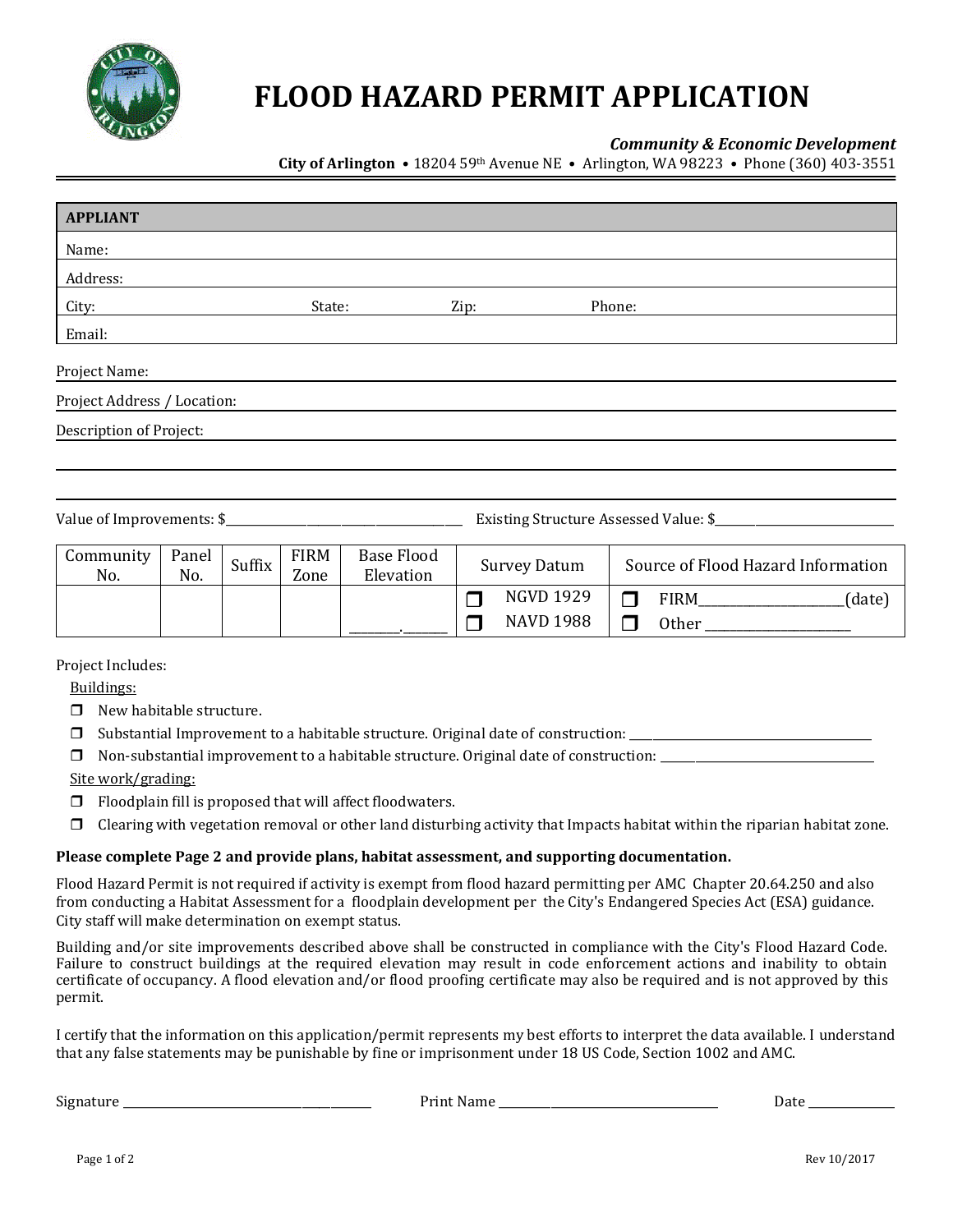

# **FLOOD HAZARD PERMIT APPLICATION**

#### *Community & Economic Development*

**City of Arlington •** 18204 59th Avenue NE • Arlington, WA 98223 • Phone (360) 403-3551

| <b>APPLIANT</b>             |              |        |                     |                                |      |                     |        |                                                                                                                                                                                                                                         |
|-----------------------------|--------------|--------|---------------------|--------------------------------|------|---------------------|--------|-----------------------------------------------------------------------------------------------------------------------------------------------------------------------------------------------------------------------------------------|
| Name:                       |              |        |                     |                                |      |                     |        |                                                                                                                                                                                                                                         |
| Address:                    |              |        |                     |                                |      |                     |        |                                                                                                                                                                                                                                         |
| City:                       |              |        | State:              |                                | Zip: |                     | Phone: |                                                                                                                                                                                                                                         |
| Email:                      |              |        |                     |                                |      |                     |        |                                                                                                                                                                                                                                         |
| Project Name:               |              |        |                     |                                |      |                     |        |                                                                                                                                                                                                                                         |
| Project Address / Location: |              |        |                     |                                |      |                     |        |                                                                                                                                                                                                                                         |
| Description of Project:     |              |        |                     |                                |      |                     |        |                                                                                                                                                                                                                                         |
|                             |              |        |                     |                                |      |                     |        |                                                                                                                                                                                                                                         |
|                             |              |        |                     |                                |      |                     |        |                                                                                                                                                                                                                                         |
|                             |              |        |                     |                                |      |                     |        | Existing Structure Assessed Value: \$                                                                                                                                                                                                   |
| Community<br>No.            | Panel<br>No. | Suffix | <b>FIRM</b><br>Zone | <b>Base Flood</b><br>Elevation |      | <b>Survey Datum</b> |        | Source of Flood Hazard Information                                                                                                                                                                                                      |
|                             |              |        |                     |                                | ٦    | <b>NGVD 1929</b>    |        | $FIRM$ <sub>________________________(date)</sub><br>$\Box$                                                                                                                                                                              |
|                             |              |        |                     |                                |      | <b>NAVD 1988</b>    |        | Other has a series of the series of the series of the series of the series of the series of the series of the series of the series of the series of the series of the series of the series of the series of the series of the<br>$\Box$ |

Project Includes:

Buildings:

- $\Box$  New habitable structure.
- Substantial Improvement to a habitable structure. Original date of construction: \_\_\_\_\_\_\_\_\_\_\_\_\_\_\_\_\_\_\_\_\_\_\_\_\_\_\_\_\_\_\_\_\_\_\_\_\_\_\_\_\_\_
- $\Box$  Non-substantial improvement to a habitable structure. Original date of construction:  $\Box$

Site work/grading:

- $\Box$  Floodplain fill is proposed that will affect floodwaters.
- $\Box$  Clearing with vegetation removal or other land disturbing activity that Impacts habitat within the riparian habitat zone.

#### **Please complete Page 2 and provide plans, habitat assessment, and supporting documentation.**

Flood Hazard Permit is not required if activity is exempt from flood hazard permitting per AMC Chapter 20.64.250 and also from conducting a Habitat Assessment for a floodplain development per the City's Endangered Species Act (ESA) guidance. City staff will make determination on exempt status.

Building and/or site improvements described above shall be constructed in compliance with the City's Flood Hazard Code. Failure to construct buildings at the required elevation may result in code enforcement actions and inability to obtain certificate of occupancy. A flood elevation and/or flood proofing certificate may also be required and is not approved by this permit.

I certify that the information on this application/permit represents my best efforts to interpret the data available. I understand that any false statements may be punishable by fine or imprisonment under 18 US Code, Section 1002 and AMC.

Signature \_\_\_\_\_\_\_\_\_\_\_\_\_\_\_\_\_\_\_\_\_\_\_\_\_\_\_\_\_\_\_\_\_\_\_\_\_\_\_\_\_\_\_ Print Name \_\_\_\_\_\_\_\_\_\_\_\_\_\_\_\_\_\_\_\_\_\_\_\_\_\_\_\_\_\_\_\_\_\_\_\_\_\_ Date \_\_\_\_\_\_\_\_\_\_\_\_\_\_\_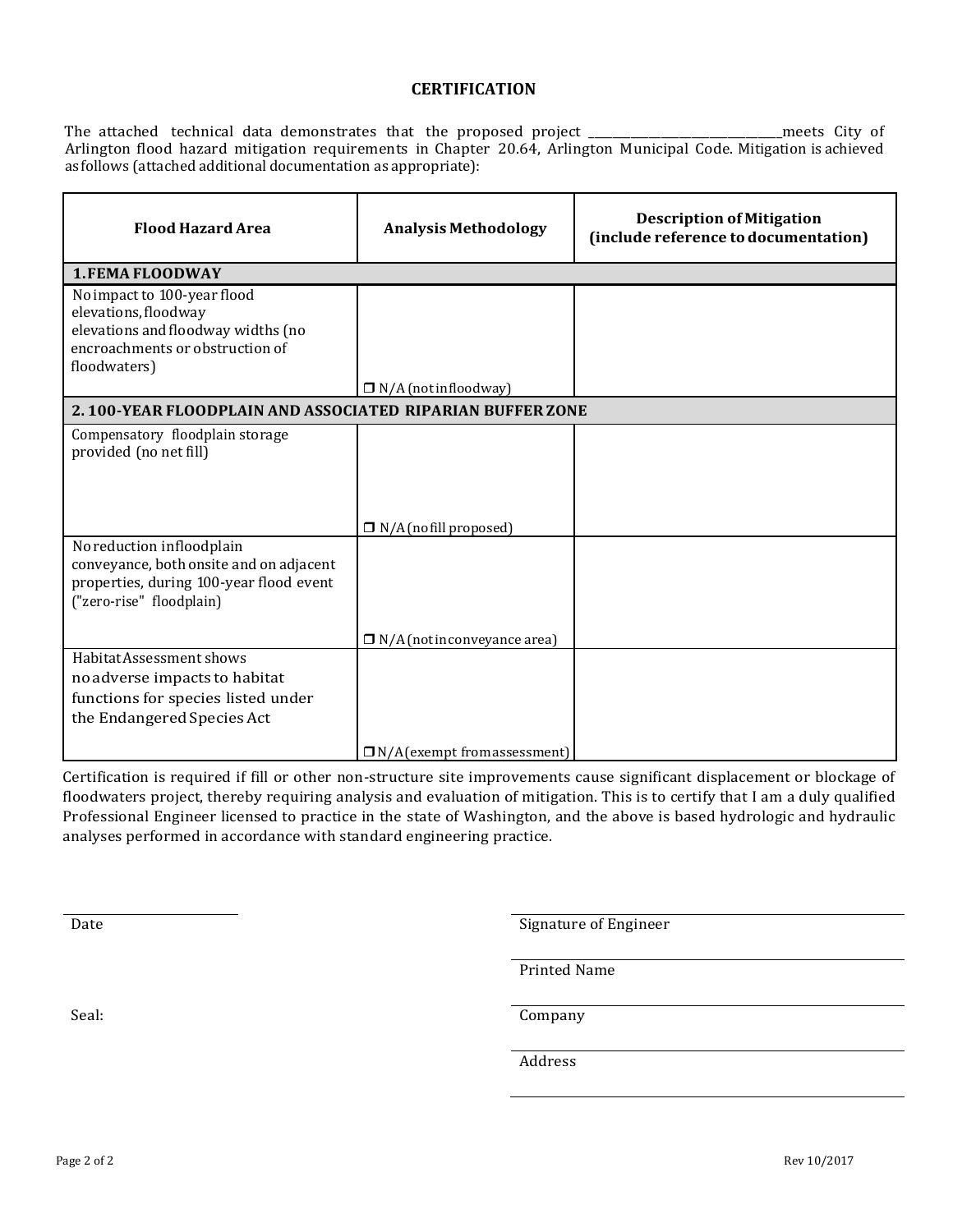#### **CERTIFICATION**

The attached technical data demonstrates that the proposed project \_\_\_\_\_\_\_\_\_\_\_\_\_\_\_\_\_\_\_\_\_\_\_\_\_\_\_\_\_\_\_\_meets City of Arlington flood hazard mitigation requirements in Chapter 20.64, Arlington Municipal Code. Mitigation is achieved as follows (attached additional documentation as appropriate):

| <b>Analysis Methodology</b>                               | <b>Description of Mitigation</b><br>(include reference to documentation) |  |  |  |  |  |  |  |
|-----------------------------------------------------------|--------------------------------------------------------------------------|--|--|--|--|--|--|--|
|                                                           |                                                                          |  |  |  |  |  |  |  |
|                                                           |                                                                          |  |  |  |  |  |  |  |
| $\Box$ N/A (notinfloodway)                                |                                                                          |  |  |  |  |  |  |  |
| 2.100-YEAR FLOODPLAIN AND ASSOCIATED RIPARIAN BUFFER ZONE |                                                                          |  |  |  |  |  |  |  |
|                                                           |                                                                          |  |  |  |  |  |  |  |
| $\Box$ N/A (no fill proposed)                             |                                                                          |  |  |  |  |  |  |  |
|                                                           |                                                                          |  |  |  |  |  |  |  |
| $\Box$ N/A (not inconveyance area)                        |                                                                          |  |  |  |  |  |  |  |
|                                                           |                                                                          |  |  |  |  |  |  |  |
|                                                           | $\Box$ N/A (exempt from assessment)                                      |  |  |  |  |  |  |  |

Certification is required if fill or other non-structure site improvements cause significant displacement or blockage of floodwaters project, thereby requiring analysis and evaluation of mitigation. This is to certify that I am a duly qualified Professional Engineer licensed to practice in the state of Washington, and the above is based hydrologic and hydraulic analyses performed in accordance with standard engineering practice.

Date Signature of Engineer

Printed Name

Seal: Company

Address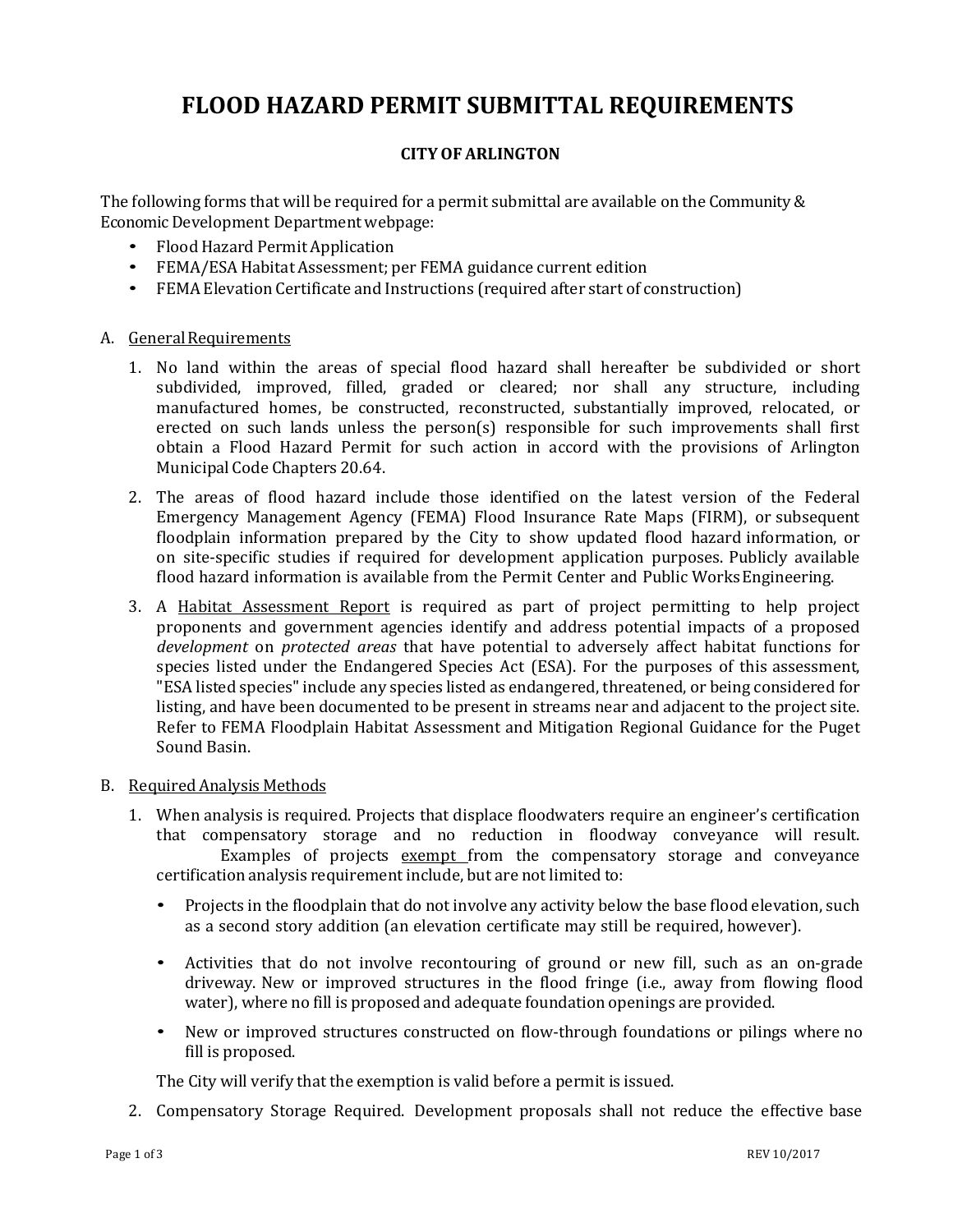## **FLOOD HAZARD PERMIT SUBMITTAL REQUIREMENTS**

### **CITYOF ARLINGTON**

The following forms that will be required for a permit submittal are available on the Community & Economic Development Department webpage:

- Flood Hazard Permit Application
- FEMA/ESA Habitat Assessment; per FEMA guidance current edition
- FEMA Elevation Certificate and Instructions (required after start of construction)

#### A. General Requirements

- 1. No land within the areas of special flood hazard shall hereafter be subdivided or short subdivided, improved, filled, graded or cleared; nor shall any structure, including manufactured homes, be constructed, reconstructed, substantially improved, relocated, or erected on such lands unless the person(s) responsible for such improvements shall first obtain a Flood Hazard Permit for such action in accord with the provisions of Arlington Municipal Code Chapters 20.64.
- 2. The areas of flood hazard include those identified on the latest version of the Federal Emergency Management Agency (FEMA) Flood Insurance Rate Maps (FIRM), or subsequent floodplain information prepared by the City to show updated flood hazard information, or on site-specific studies if required for development application purposes. Publicly available flood hazard information is available from the Permit Center and Public Works Engineering.
- 3. A Habitat Assessment Report is required as part of project permitting to help project proponents and government agencies identify and address potential impacts of a proposed *development* on *protected areas* that have potential to adversely affect habitat functions for species listed under the Endangered Species Act (ESA). For the purposes of this assessment, "ESA listed species"include any species listed as endangered, threatened, or being considered for listing, and have been documented to be present in streams near and adjacent to the project site. Refer to FEMA Floodplain Habitat Assessment and Mitigation Regional Guidance for the Puget Sound Basin.

#### B. RequiredAnalysis Methods

- 1. When analysis is required. Projects that displace floodwaters require an engineer's certification that compensatory storage and no reduction in floodway conveyance will result. Examples of projects exempt from the compensatory storage and conveyance certification analysis requirement include, but are not limited to:
	- Projects in the floodplain that do not involve any activity below the base flood elevation, such as a second story addition (an elevation certificate may still be required, however).
	- Activities that do not involve recontouring of ground or new fill, such as an on-grade driveway. New or improved structures in the flood fringe (i.e., away from flowing flood water), where no fill is proposed and adequate foundation openings are provided.
	- New or improved structures constructed on flow-through foundations or pilings where no fill is proposed.

The City will verify that the exemption is valid before a permit is issued.

2. Compensatory Storage Required. Development proposals shall not reduce the effective base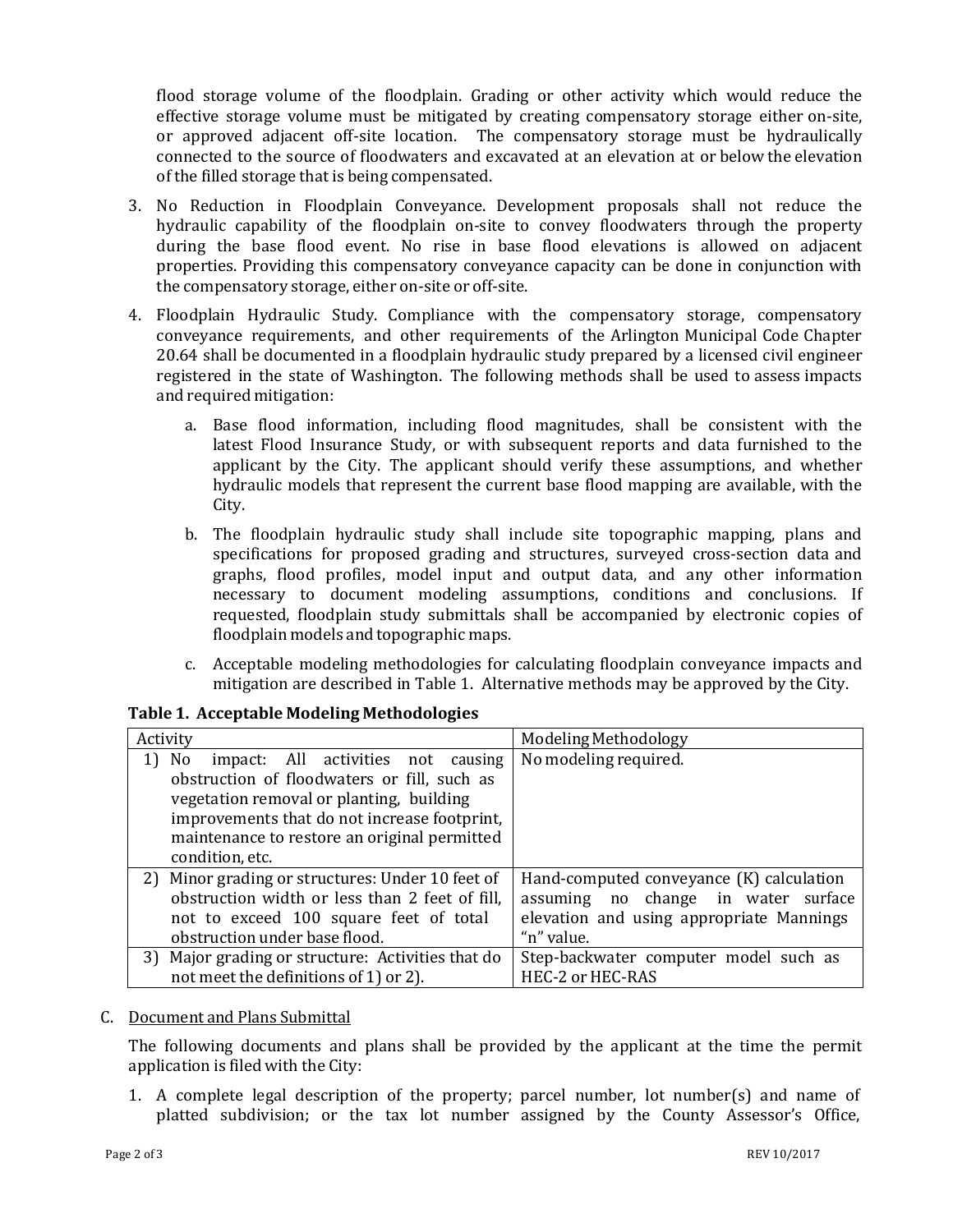flood storage volume of the floodplain. Grading or other activity which would reduce the effective storage volume must be mitigated by creating compensatory storage either on-site, or approved adjacent off-site location. The compensatory storage must be hydraulically connected to the source of floodwaters and excavated at an elevation at or below the elevation of the filled storage that is being compensated.

- 3. No Reduction in Floodplain Conveyance. Development proposals shall not reduce the hydraulic capability of the floodplain on-site to convey floodwaters through the property during the base flood event. No rise in base flood elevations is allowed on adjacent properties. Providing this compensatory conveyance capacity can be done in conjunction with the compensatory storage, either on-site or off-site.
- 4. Floodplain Hydraulic Study. Compliance with the compensatory storage, compensatory conveyance requirements, and other requirements of the Arlington Municipal Code Chapter 20.64 shall be documented in a floodplain hydraulic study prepared by a licensed civil engineer registered in the state of Washington. The following methods shall be used to assess impacts and required mitigation:
	- a. Base flood information, including flood magnitudes, shall be consistent with the latest Flood Insurance Study, or with subsequent reports and data furnished to the applicant by the City. The applicant should verify these assumptions, and whether hydraulic models that represent the current base flood mapping are available, with the City.
	- b. The floodplain hydraulic study shall include site topographic mapping, plans and specifications for proposed grading and structures, surveyed cross-section data and graphs, flood profiles, model input and output data, and any other information necessary to document modeling assumptions, conditions and conclusions. If requested, floodplain study submittals shall be accompanied by electronic copies of floodplain models and topographic maps.
	- c. Acceptable modeling methodologies for calculating floodplain conveyance impacts and mitigation are described in Table 1. Alternative methods may be approved by the City.

| Activity                                          | Modeling Methodology                     |  |  |  |
|---------------------------------------------------|------------------------------------------|--|--|--|
| 1)<br>No<br>impact: All activities not<br>causing | No modeling required.                    |  |  |  |
| obstruction of floodwaters or fill, such as       |                                          |  |  |  |
| vegetation removal or planting, building          |                                          |  |  |  |
| improvements that do not increase footprint,      |                                          |  |  |  |
| maintenance to restore an original permitted      |                                          |  |  |  |
| condition, etc.                                   |                                          |  |  |  |
| 2) Minor grading or structures: Under 10 feet of  | Hand-computed conveyance (K) calculation |  |  |  |
| obstruction width or less than 2 feet of fill,    | assuming no change in water surface      |  |  |  |
| not to exceed 100 square feet of total            | elevation and using appropriate Mannings |  |  |  |
| obstruction under base flood.                     | "n" value.                               |  |  |  |
| 3) Major grading or structure: Activities that do | Step-backwater computer model such as    |  |  |  |
| not meet the definitions of 1) or 2).             | HEC-2 or HEC-RAS                         |  |  |  |

#### **Table 1. Acceptable Modeling Methodologies**

#### C. Document and Plans Submittal

The following documents and plans shall be provided by the applicant at the time the permit application is filed with the City:

1. A complete legal description of the property; parcel number, lot number(s) and name of platted subdivision; or the tax lot number assigned by the County Assessor's Office,